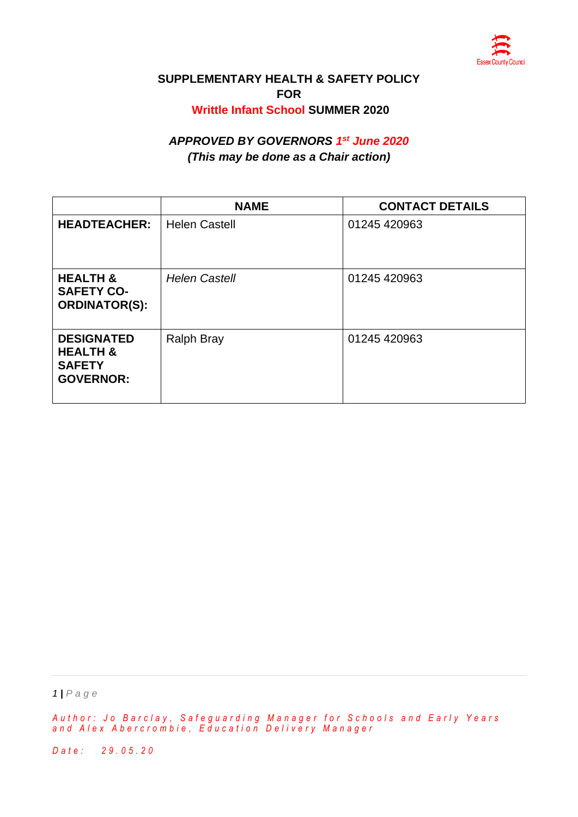

# **SUPPLEMENTARY HEALTH & SAFETY POLICY FOR**

#### **Writtle Infant School SUMMER 2020**

## *APPROVED BY GOVERNORS 1 st June 2020 (This may be done as a Chair action)*

|                                                                               | <b>NAME</b>          | <b>CONTACT DETAILS</b> |
|-------------------------------------------------------------------------------|----------------------|------------------------|
| <b>HEADTEACHER:</b>                                                           | <b>Helen Castell</b> | 01245 420963           |
| <b>HEALTH &amp;</b><br><b>SAFETY CO-</b><br><b>ORDINATOR(S):</b>              | <b>Helen Castell</b> | 01245 420963           |
| <b>DESIGNATED</b><br><b>HEALTH &amp;</b><br><b>SAFETY</b><br><b>GOVERNOR:</b> | <b>Ralph Bray</b>    | 01245 420963           |

*1 | P a g e*

*A u t h o r : J o B a r c l a y , S a f e g u a r d i n g M a n a g e r f o r S c h o o l s a n d E a r l y Y e a r s a n d A l e x A b e r c r o m b i e , E d u c a t i o n D e l i v e r y M a n a g e r*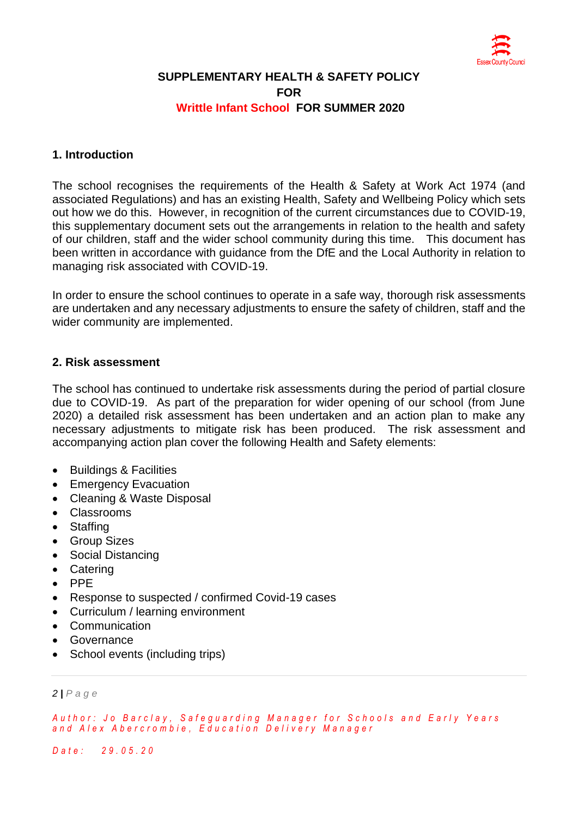

#### **SUPPLEMENTARY HEALTH & SAFETY POLICY FOR Writtle Infant School FOR SUMMER 2020**

#### **1. Introduction**

The school recognises the requirements of the Health & Safety at Work Act 1974 (and associated Regulations) and has an existing Health, Safety and Wellbeing Policy which sets out how we do this. However, in recognition of the current circumstances due to COVID-19, this supplementary document sets out the arrangements in relation to the health and safety of our children, staff and the wider school community during this time. This document has been written in accordance with guidance from the DfE and the Local Authority in relation to managing risk associated with COVID-19.

In order to ensure the school continues to operate in a safe way, thorough risk assessments are undertaken and any necessary adjustments to ensure the safety of children, staff and the wider community are implemented.

#### **2. Risk assessment**

The school has continued to undertake risk assessments during the period of partial closure due to COVID-19. As part of the preparation for wider opening of our school (from June 2020) a detailed risk assessment has been undertaken and an action plan to make any necessary adjustments to mitigate risk has been produced. The risk assessment and accompanying action plan cover the following Health and Safety elements:

- Buildings & Facilities
- Emergency Evacuation
- Cleaning & Waste Disposal
- Classrooms
- Staffing
- Group Sizes
- Social Distancing
- Catering
- PPE
- Response to suspected / confirmed Covid-19 cases
- Curriculum / learning environment
- Communication
- Governance
- School events (including trips)

*2 | P a g e*

*Author: Jo Barclay, Safequarding Manager for Schools and Early Years a n d A l e x A b e r c r o m b i e , E d u c a t i o n D e l i v e r y M a n a g e r*

*D a t e : 2 9 .05.20*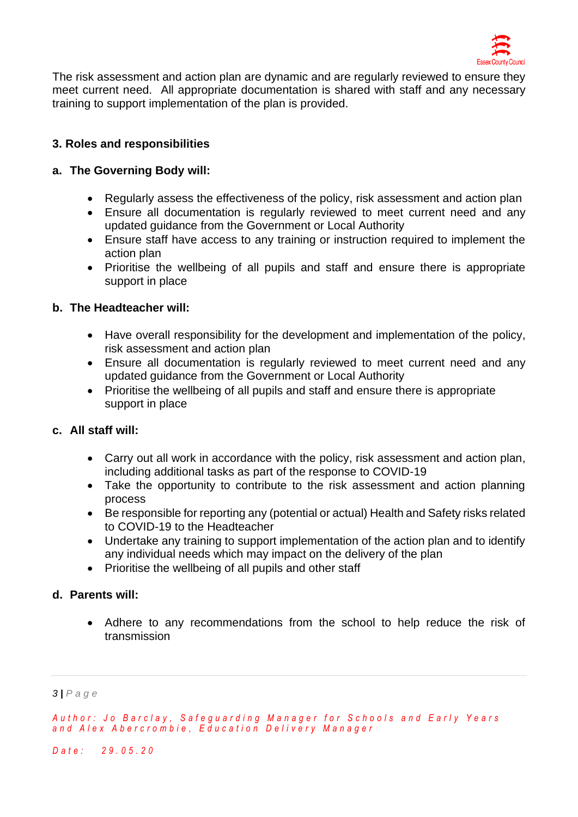

The risk assessment and action plan are dynamic and are regularly reviewed to ensure they meet current need. All appropriate documentation is shared with staff and any necessary training to support implementation of the plan is provided.

## **3. Roles and responsibilities**

# **a. The Governing Body will:**

- Regularly assess the effectiveness of the policy, risk assessment and action plan
- Ensure all documentation is regularly reviewed to meet current need and any updated guidance from the Government or Local Authority
- Ensure staff have access to any training or instruction required to implement the action plan
- Prioritise the wellbeing of all pupils and staff and ensure there is appropriate support in place

## **b. The Headteacher will:**

- Have overall responsibility for the development and implementation of the policy, risk assessment and action plan
- Ensure all documentation is regularly reviewed to meet current need and any updated guidance from the Government or Local Authority
- Prioritise the wellbeing of all pupils and staff and ensure there is appropriate support in place

## **c. All staff will:**

- Carry out all work in accordance with the policy, risk assessment and action plan, including additional tasks as part of the response to COVID-19
- Take the opportunity to contribute to the risk assessment and action planning process
- Be responsible for reporting any (potential or actual) Health and Safety risks related to COVID-19 to the Headteacher
- Undertake any training to support implementation of the action plan and to identify any individual needs which may impact on the delivery of the plan
- Prioritise the wellbeing of all pupils and other staff

## **d. Parents will:**

• Adhere to any recommendations from the school to help reduce the risk of transmission

*3 | P a g e*

*Author: Jo Barclay, Safequarding Manager for Schools and Early Years a n d A l e x A b e r c r o m b i e , E d u c a t i o n D e l i v e r y M a n a g e r*

*D a t e : 2 9 .05.20*